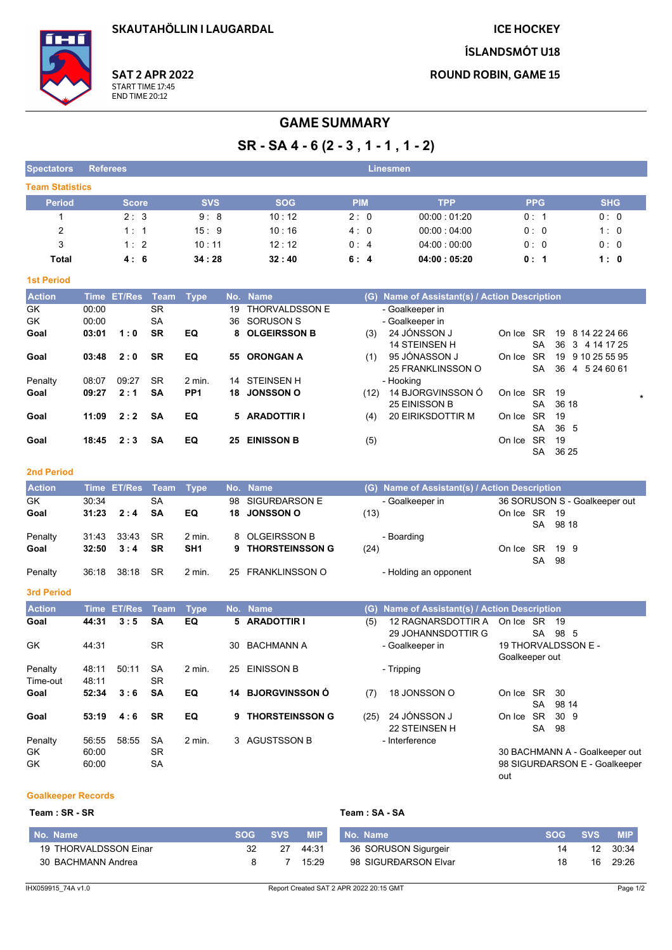**ICE HOCKEY** 

**ÍSLANDSMÓT U18** 

**ROUND ROBIN, GAME 15** 

**SAT 2 APR 2022** START TIME 17:45<br>END TIME 20:12

# **GAME SUMMARY**

 $SR - SA 4 - 6 (2 - 3, 1 - 1, 1 - 2)$ 

| <b>Spectators</b>      | <b>Referees</b> |            |            | Linesmen   |             |            |            |
|------------------------|-----------------|------------|------------|------------|-------------|------------|------------|
| <b>Team Statistics</b> |                 |            |            |            |             |            |            |
| <b>Period</b>          | <b>Score</b>    | <b>SVS</b> | <b>SOG</b> | <b>PIM</b> | <b>TPP</b>  | <b>PPG</b> | <b>SHG</b> |
|                        | 2:3             | 9:8        | 10:12      | 2:0        | 00:00:01:20 | 0:1        | 0:0        |
| $\overline{2}$         | 1:1             | 15:9       | 10:16      | 4:0        | 00.00:04.00 | 0:0        | 1:0        |
| 3                      | 1:2             | 10:11      | 12:12      | 0:4        | 04:00:00:00 | 0:0        | 0:0        |
| Total                  | 4:6             | 34:28      | 32:40      | 6:4        | 04:00:05:20 | 0:1        | 1:0        |

## **1st Period**

| <b>Action</b> |       | Time ET/Res Team |           | Type              |     | No. Name              | (G)  | Name of Assistant(s) / Action Description |        |           |                                    |
|---------------|-------|------------------|-----------|-------------------|-----|-----------------------|------|-------------------------------------------|--------|-----------|------------------------------------|
| GK            | 00:00 |                  | <b>SR</b> |                   | 19  | <b>THORVALDSSON E</b> |      | - Goalkeeper in                           |        |           |                                    |
| GK            | 00:00 |                  | <b>SA</b> |                   | 36  | SORUSON S             |      | - Goalkeeper in                           |        |           |                                    |
| Goal          | 03:01 | 1:0              | <b>SR</b> | EQ                |     | 8 OLGEIRSSON B        | (3)  | 24 JÓNSSON J                              | On Ice | SR.       | 19<br>8 14 22 24 66                |
|               |       |                  |           |                   |     |                       |      | <b>14 STEINSEN H</b>                      |        | <b>SA</b> | 36<br>3 4 14 17 25                 |
| Goal          | 03:48 | 2:0              | <b>SR</b> | EQ                | 55. | <b>ORONGAN A</b>      | (1)  | 95 JÓNASSON J                             | On Ice | SR.       | 19<br>9 10 25 55 95                |
|               |       |                  |           |                   |     |                       |      | 25 FRANKLINSSON O                         |        | <b>SA</b> | 36<br>5 24 60 61<br>$\overline{4}$ |
| Penalty       | 08:07 | 09:27            | <b>SR</b> | $2 \text{ min}$ . |     | 14 STEINSEN H         |      | - Hooking                                 |        |           |                                    |
| Goal          | 09:27 | 2:1              | <b>SA</b> | PP <sub>1</sub>   | 18  | <b>JONSSON O</b>      | (12) | 14 BJORGVINSSON Ó                         | On Ice | SR.       | -19                                |
|               |       |                  |           |                   |     |                       |      | 25 EINISSON B                             |        | <b>SA</b> | 36 18                              |
| Goal          | 11:09 | 2:2              | <b>SA</b> | EQ                |     | 5 ARADOTTIR I         | (4)  | 20 EIRIKSDOTTIR M                         | On Ice | SR.       | -19                                |
|               |       |                  |           |                   |     |                       |      |                                           |        | <b>SA</b> | 36 5                               |
| Goal          | 18:45 | 2:3              | SΑ        | EQ                | 25  | <b>EINISSON B</b>     | (5)  |                                           | On Ice | <b>SR</b> | 19                                 |
|               |       |                  |           |                   |     |                       |      |                                           |        | SA        | 36 25                              |

| <b>Action</b> |       | Time ET/Res Team Type |           |                 | No. Name          | (G) Name of Assistant(s) / Action Description |                |    |                               |
|---------------|-------|-----------------------|-----------|-----------------|-------------------|-----------------------------------------------|----------------|----|-------------------------------|
| GK            | 30:34 |                       | SA        |                 | 98 SIGURÐARSON E  | - Goalkeeper in                               |                |    | 36 SORUSON S - Goalkeeper out |
| Goal          | 31:23 | 2:4                   | <b>SA</b> | EQ              | 18 JONSSON O      | (13)                                          | On Ice SR 19   |    |                               |
|               |       |                       |           |                 |                   |                                               |                |    | SA 9818                       |
| Penalty       | 31:43 | 33:43                 | -SR       | $2$ min.        | 8 OLGEIRSSON B    | - Boarding                                    |                |    |                               |
| Goal          | 32:50 | 3:4                   | <b>SR</b> | SH <sub>1</sub> | 9 THORSTEINSSON G | (24)                                          | On Ice SR 19 9 |    |                               |
|               |       |                       |           |                 |                   |                                               |                | SA | -98                           |
| Penalty       | 36:18 | 38:18                 | -SR       | 2 min.          | 25 FRANKLINSSON O | - Holding an opponent                         |                |    |                               |
|               |       |                       |           |                 |                   |                                               |                |    |                               |

# 3rd Period

| <b>Action</b> | <b>Time</b> | ET/Res | Team      | <b>Type</b> |    | No. Name               | (G)  | <b>Name of Assistant(s) / Action Description</b> |                |           |                                |
|---------------|-------------|--------|-----------|-------------|----|------------------------|------|--------------------------------------------------|----------------|-----------|--------------------------------|
| Goal          | 44:31       | 3:5    | <b>SA</b> | EQ          |    | 5 ARADOTTIR I          | (5)  | 12 RAGNARSDOTTIR A                               | On Ice SR      |           | -19                            |
|               |             |        |           |             |    |                        |      | 29 JOHANNSDOTTIR G                               |                | <b>SA</b> | 98 5                           |
| GK            | 44:31       |        | <b>SR</b> |             | 30 | <b>BACHMANN A</b>      |      | - Goalkeeper in                                  |                |           | 19 THORVALDSSON E -            |
|               |             |        |           |             |    |                        |      |                                                  | Goalkeeper out |           |                                |
| Penalty       | 48:11       | 50:11  | <b>SA</b> | $2$ min.    | 25 | EINISSON B             |      | - Tripping                                       |                |           |                                |
| Time-out      | 48:11       |        | <b>SR</b> |             |    |                        |      |                                                  |                |           |                                |
| Goal          | 52:34       | 3:6    | <b>SA</b> | EQ          | 14 | <b>BJORGVINSSON Ó</b>  | (7)  | 18 JONSSON O                                     | On Ice SR      |           | -30                            |
|               |             |        |           |             |    |                        |      |                                                  |                | <b>SA</b> | 98 14                          |
| Goal          | 53:19       | 4:6    | <b>SR</b> | EQ          | 9  | <b>THORSTEINSSON G</b> | (25) | 24 JÓNSSON J                                     | On Ice         | <b>SR</b> | 30 9                           |
|               |             |        |           |             |    |                        |      | 22 STEINSEN H                                    |                | SA        | -98                            |
| Penalty       | 56.55       | 58:55  | <b>SA</b> | $2$ min.    |    | 3 AGUSTSSON B          |      | - Interference                                   |                |           |                                |
| GK            | 60:00       |        | <b>SR</b> |             |    |                        |      |                                                  |                |           | 30 BACHMANN A - Goalkeeper out |
| GK            | 60:00       |        | <b>SA</b> |             |    |                        |      |                                                  |                |           | 98 SIGURÐARSON E - Goalkeeper  |

**Goalkeeper Records** 

## $Team : SR - SR$

| Team : SA - SA |  |  |  |  |
|----------------|--|--|--|--|
|----------------|--|--|--|--|

out

| Mo. Name \            | <b>SVS</b> | <b>MIP</b> | No. Name             | <b>SOG</b> | <b>SVS</b> | <b>MIP</b> |
|-----------------------|------------|------------|----------------------|------------|------------|------------|
| 19 THORVALDSSON Einar |            | 44:31      | 36 SORUSON Sigurgeir |            |            | 30:34      |
| 30 BACHMANN Andrea    |            | 15.29      | 98 SIGURÐARSON Elvar |            | 16         | 29:26      |